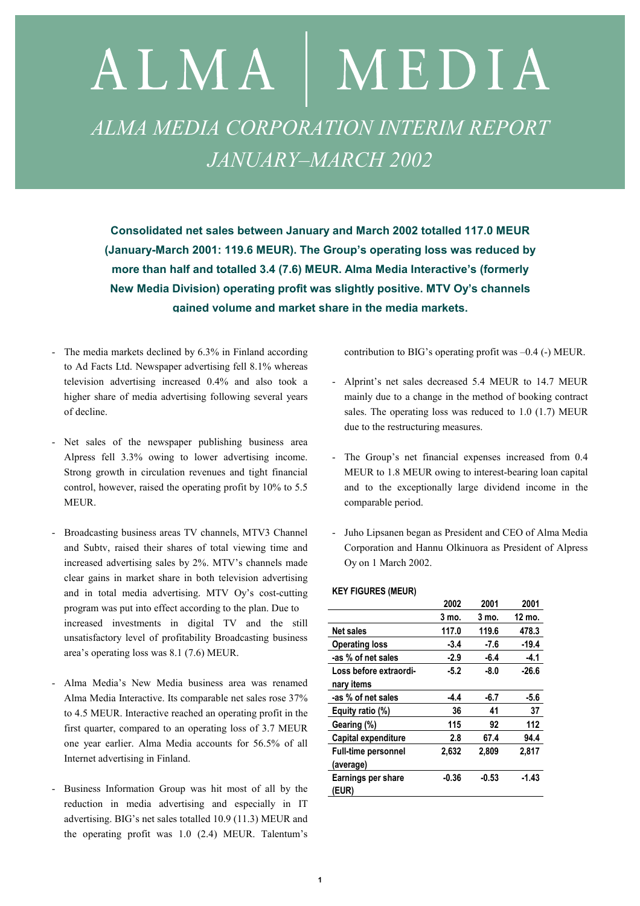# ALMA | MEDIA *ALMA MEDIA CORPORATION INTERIM REPORT JANUARY–MARCH 2002*

**Consolidated net sales between January and March 2002 totalled 117.0 MEUR (January-March 2001: 119.6 MEUR). The Group's operating loss was reduced by more than half and totalled 3.4 (7.6) MEUR. Alma Media Interactive's (formerly New Media Division) operating profit was slightly positive. MTV Oy's channels gained volume and market share in the media markets.**

- The media markets declined by 6.3% in Finland according to Ad Facts Ltd. Newspaper advertising fell 8.1% whereas television advertising increased 0.4% and also took a higher share of media advertising following several years of decline.
- Net sales of the newspaper publishing business area Alpress fell 3.3% owing to lower advertising income. Strong growth in circulation revenues and tight financial control, however, raised the operating profit by 10% to 5.5 MEUR.
- Broadcasting business areas TV channels, MTV3 Channel and Subtv, raised their shares of total viewing time and increased advertising sales by 2%. MTV's channels made clear gains in market share in both television advertising and in total media advertising. MTV Oy's cost-cutting program was put into effect according to the plan. Due to increased investments in digital TV and the still unsatisfactory level of profitability Broadcasting business area's operating loss was 8.1 (7.6) MEUR.
- Alma Media's New Media business area was renamed Alma Media Interactive. Its comparable net sales rose 37% to 4.5 MEUR. Interactive reached an operating profit in the first quarter, compared to an operating loss of 3.7 MEUR one year earlier. Alma Media accounts for 56.5% of all Internet advertising in Finland.
- Business Information Group was hit most of all by the reduction in media advertising and especially in IT advertising. BIG's net sales totalled 10.9 (11.3) MEUR and the operating profit was 1.0 (2.4) MEUR. Talentum's

contribution to BIG's operating profit was –0.4 (-) MEUR.

- Alprint's net sales decreased 5.4 MEUR to 14.7 MEUR mainly due to a change in the method of booking contract sales. The operating loss was reduced to 1.0 (1.7) MEUR due to the restructuring measures.
- The Group's net financial expenses increased from 0.4 MEUR to 1.8 MEUR owing to interest-bearing loan capital and to the exceptionally large dividend income in the comparable period.
- Juho Lipsanen began as President and CEO of Alma Media Corporation and Hannu Olkinuora as President of Alpress Oy on 1 March 2002.

#### **KEY FIGURES (MEUR)**

|                            | 2002    | 2001    | 2001    |
|----------------------------|---------|---------|---------|
|                            | 3 mo.   | 3 mo.   | 12 mo.  |
| <b>Net sales</b>           | 117.0   | 119.6   | 478.3   |
| <b>Operating loss</b>      | $-3.4$  | $-7.6$  | $-19.4$ |
| -as % of net sales         | $-2.9$  | -6.4    | -4.1    |
| Loss before extraordi-     | $-5.2$  | $-8.0$  | -26.6   |
| nary items                 |         |         |         |
| -as % of net sales         | $-4.4$  | -6.7    | -5.6    |
| Equity ratio (%)           | 36      | 41      | 37      |
| Gearing (%)                | 115     | 92      | 112     |
| Capital expenditure        | 2.8     | 67.4    | 94.4    |
| <b>Full-time personnel</b> | 2,632   | 2,809   | 2.817   |
| (average)                  |         |         |         |
| Earnings per share         | $-0.36$ | $-0.53$ | $-1.43$ |
| (EUR)                      |         |         |         |
|                            |         |         |         |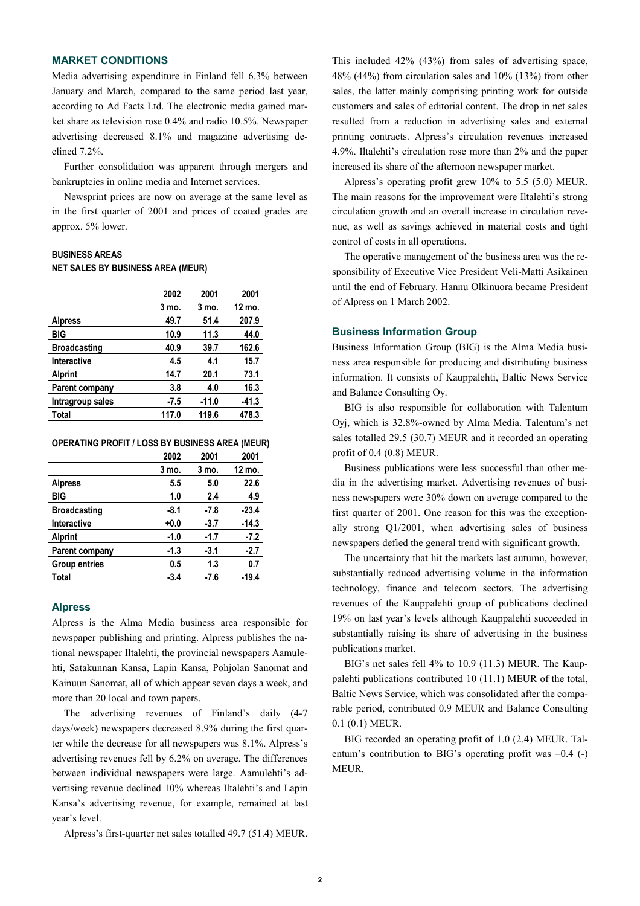# **MARKET CONDITIONS**

Media advertising expenditure in Finland fell 6.3% between January and March, compared to the same period last year, according to Ad Facts Ltd. The electronic media gained market share as television rose 0.4% and radio 10.5%. Newspaper advertising decreased 8.1% and magazine advertising declined 7.2%.

Further consolidation was apparent through mergers and bankruptcies in online media and Internet services.

Newsprint prices are now on average at the same level as in the first quarter of 2001 and prices of coated grades are approx. 5% lower.

# **BUSINESS AREAS NET SALES BY BUSINESS AREA (MEUR)**

|                     | 2002   | 2001    | 2001    |
|---------------------|--------|---------|---------|
|                     | 3 mo.  | 3 mo.   | 12 mo.  |
| <b>Alpress</b>      | 49.7   | 51.4    | 207.9   |
| BIG                 | 10.9   | 11.3    | 44.0    |
| <b>Broadcasting</b> | 40.9   | 39.7    | 162.6   |
| <b>Interactive</b>  | 4.5    | 4.1     | 15.7    |
| <b>Alprint</b>      | 14.7   | 20.1    | 73.1    |
| Parent company      | 3.8    | 4.0     | 16.3    |
| Intragroup sales    | $-7.5$ | $-11.0$ | $-41.3$ |
| Total               | 117.0  | 119.6   | 478.3   |
|                     |        |         |         |

**OPERATING PROFIT / LOSS BY BUSINESS AREA (MEUR)** 

|                      | 2002   | 2001   | 2001    |
|----------------------|--------|--------|---------|
|                      | 3 mo.  | 3 mo.  | 12 mo.  |
| <b>Alpress</b>       | 5.5    | 5.0    | 22.6    |
| BIG                  | 1.0    | 2.4    | 4.9     |
| <b>Broadcasting</b>  | -8.1   | -7.8   | $-23.4$ |
| <b>Interactive</b>   | $+0.0$ | $-3.7$ | $-14.3$ |
| <b>Alprint</b>       | -1.0   | -1.7   | $-7.2$  |
| Parent company       | -1.3   | $-3.1$ | $-2.7$  |
| <b>Group entries</b> | 0.5    | 1.3    | 0.7     |
| Total                | $-3.4$ | -7.6   | $-19.4$ |

#### **Alpress**

Alpress is the Alma Media business area responsible for newspaper publishing and printing. Alpress publishes the national newspaper Iltalehti, the provincial newspapers Aamulehti, Satakunnan Kansa, Lapin Kansa, Pohjolan Sanomat and Kainuun Sanomat, all of which appear seven days a week, and more than 20 local and town papers.

The advertising revenues of Finland's daily (4-7 days/week) newspapers decreased 8.9% during the first quarter while the decrease for all newspapers was 8.1%. Alpress's advertising revenues fell by 6.2% on average. The differences between individual newspapers were large. Aamulehti's advertising revenue declined 10% whereas Iltalehti's and Lapin Kansa's advertising revenue, for example, remained at last year's level.

Alpress's first-quarter net sales totalled 49.7 (51.4) MEUR.

This included 42% (43%) from sales of advertising space, 48% (44%) from circulation sales and 10% (13%) from other sales, the latter mainly comprising printing work for outside customers and sales of editorial content. The drop in net sales resulted from a reduction in advertising sales and external printing contracts. Alpress's circulation revenues increased 4.9%. Iltalehti's circulation rose more than 2% and the paper increased its share of the afternoon newspaper market.

Alpress's operating profit grew 10% to 5.5 (5.0) MEUR. The main reasons for the improvement were Iltalehti's strong circulation growth and an overall increase in circulation revenue, as well as savings achieved in material costs and tight control of costs in all operations.

The operative management of the business area was the responsibility of Executive Vice President Veli-Matti Asikainen until the end of February. Hannu Olkinuora became President of Alpress on 1 March 2002.

#### **Business Information Group**

Business Information Group (BIG) is the Alma Media business area responsible for producing and distributing business information. It consists of Kauppalehti, Baltic News Service and Balance Consulting Oy.

BIG is also responsible for collaboration with Talentum Oyj, which is 32.8%-owned by Alma Media. Talentum's net sales totalled 29.5 (30.7) MEUR and it recorded an operating profit of 0.4 (0.8) MEUR.

Business publications were less successful than other media in the advertising market. Advertising revenues of business newspapers were 30% down on average compared to the first quarter of 2001. One reason for this was the exceptionally strong Q1/2001, when advertising sales of business newspapers defied the general trend with significant growth.

The uncertainty that hit the markets last autumn, however, substantially reduced advertising volume in the information technology, finance and telecom sectors. The advertising revenues of the Kauppalehti group of publications declined 19% on last year's levels although Kauppalehti succeeded in substantially raising its share of advertising in the business publications market.

BIG's net sales fell 4% to 10.9 (11.3) MEUR. The Kauppalehti publications contributed 10 (11.1) MEUR of the total, Baltic News Service, which was consolidated after the comparable period, contributed 0.9 MEUR and Balance Consulting 0.1 (0.1) MEUR.

BIG recorded an operating profit of 1.0 (2.4) MEUR. Talentum's contribution to BIG's operating profit was –0.4 (-) MEUR.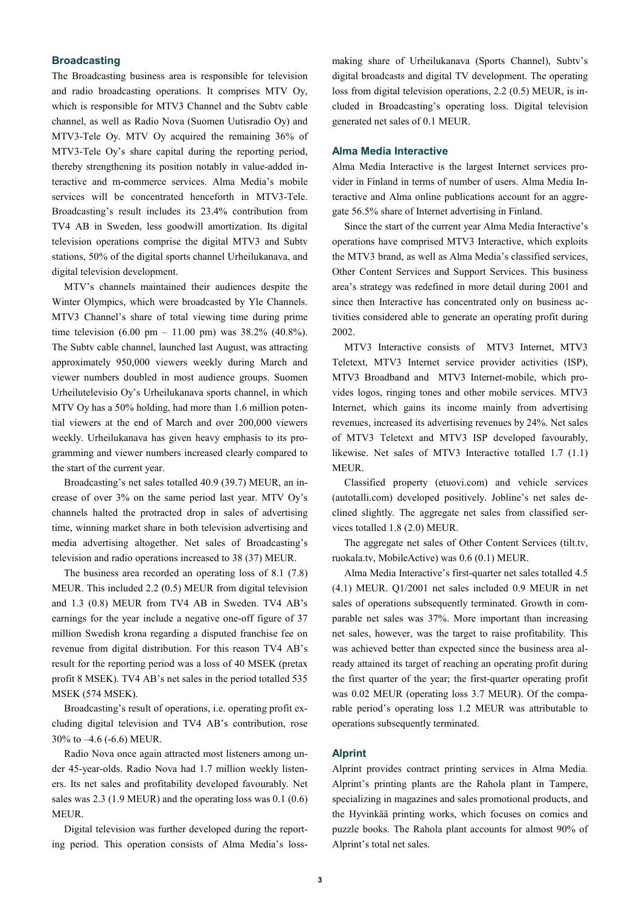## **Broadcasting**

The Broadcasting business area is responsible for television and radio broadcasting operations. It comprises MTV Oy, which is responsible for MTV3 Channel and the Subty cable channel, as well as Radio Nova (Suomen Uutisradio Oy) and MTV3-Tele Oy. MTV Oy acquired the remaining 36% of MTV3-Tele Oy's share capital during the reporting period, thereby strengthening its position notably in value-added interactive and m-commerce services. Alma Media's mobile services will be concentrated henceforth in MTV3-Tele. Broadcasting's result includes its 23.4% contribution from TV4 AB in Sweden, less goodwill amortization. Its digital television operations comprise the digital MTV3 and Subtv stations, 50% of the digital sports channel Urheilukanava, and digital television development.

MTV's channels maintained their audiences despite the Winter Olympics, which were broadcasted by Yle Channels. MTV3 Channel's share of total viewing time during prime time television (6.00 pm – 11.00 pm) was 38.2% (40.8%). The Subtv cable channel, launched last August, was attracting approximately 950,000 viewers weekly during March and viewer numbers doubled in most audience groups. Suomen Urheilutelevisio Oy's Urheilukanava sports channel, in which MTV Oy has a 50% holding, had more than 1.6 million potential viewers at the end of March and over 200,000 viewers weekly. Urheilukanava has given heavy emphasis to its programming and viewer numbers increased clearly compared to the start of the current year.

Broadcasting's net sales totalled 40.9 (39.7) MEUR, an increase of over 3% on the same period last year. MTV Oy's channels halted the protracted drop in sales of advertising time, winning market share in both television advertising and media advertising altogether. Net sales of Broadcasting's television and radio operations increased to 38 (37) MEUR.

The business area recorded an operating loss of 8.1 (7.8) MEUR. This included 2.2 (0.5) MEUR from digital television and 1.3 (0.8) MEUR from TV4 AB in Sweden. TV4 AB's earnings for the year include a negative one-off figure of 37 million Swedish krona regarding a disputed franchise fee on revenue from digital distribution. For this reason TV4 AB's result for the reporting period was a loss of 40 MSEK (pretax profit 8 MSEK). TV4 AB's net sales in the period totalled 535 MSEK (574 MSEK).

Broadcasting's result of operations, i.e. operating profit excluding digital television and TV4 AB's contribution, rose 30% to –4.6 (-6.6) MEUR.

Radio Nova once again attracted most listeners among under 45-year-olds. Radio Nova had 1.7 million weekly listeners. Its net sales and profitability developed favourably. Net sales was 2.3 (1.9 MEUR) and the operating loss was 0.1 (0.6) MEUR.

Digital television was further developed during the reporting period. This operation consists of Alma Media's lossmaking share of Urheilukanava (Sports Channel), Subtv's digital broadcasts and digital TV development. The operating loss from digital television operations, 2.2 (0.5) MEUR, is included in Broadcasting's operating loss. Digital television generated net sales of 0.1 MEUR.

## **Alma Media Interactive**

Alma Media Interactive is the largest Internet services provider in Finland in terms of number of users. Alma Media Interactive and Alma online publications account for an aggregate 56.5% share of Internet advertising in Finland.

Since the start of the current year Alma Media Interactive's operations have comprised MTV3 Interactive, which exploits the MTV3 brand, as well as Alma Media's classified services, Other Content Services and Support Services. This business area's strategy was redefined in more detail during 2001 and since then Interactive has concentrated only on business activities considered able to generate an operating profit during 2002.

MTV3 Interactive consists of MTV3 Internet, MTV3 Teletext, MTV3 Internet service provider activities (ISP), MTV3 Broadband and MTV3 Internet-mobile, which provides logos, ringing tones and other mobile services. MTV3 Internet, which gains its income mainly from advertising revenues, increased its advertising revenues by 24%. Net sales of MTV3 Teletext and MTV3 ISP developed favourably, likewise. Net sales of MTV3 Interactive totalled 1.7 (1.1) MEUR.

Classified property (etuovi.com) and vehicle services (autotalli.com) developed positively. Jobline's net sales declined slightly. The aggregate net sales from classified services totalled 1.8 (2.0) MEUR.

The aggregate net sales of Other Content Services (tilt.tv, ruokala.tv, MobileActive) was 0.6 (0.1) MEUR.

Alma Media Interactive's first-quarter net sales totalled 4.5 (4.1) MEUR. Q1/2001 net sales included 0.9 MEUR in net sales of operations subsequently terminated. Growth in comparable net sales was 37%. More important than increasing net sales, however, was the target to raise profitability. This was achieved better than expected since the business area already attained its target of reaching an operating profit during the first quarter of the year; the first-quarter operating profit was 0.02 MEUR (operating loss 3.7 MEUR). Of the comparable period's operating loss 1.2 MEUR was attributable to operations subsequently terminated.

#### **Alprint**

Alprint provides contract printing services in Alma Media. Alprint's printing plants are the Rahola plant in Tampere, specializing in magazines and sales promotional products, and the Hyvinkää printing works, which focuses on comics and puzzle books. The Rahola plant accounts for almost 90% of Alprint's total net sales.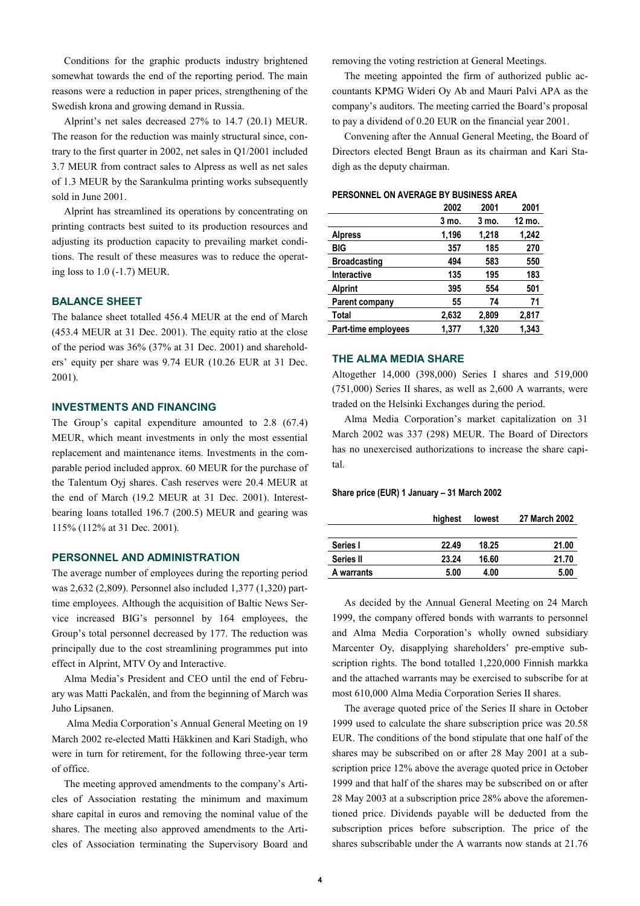Conditions for the graphic products industry brightened somewhat towards the end of the reporting period. The main reasons were a reduction in paper prices, strengthening of the Swedish krona and growing demand in Russia.

Alprint's net sales decreased 27% to 14.7 (20.1) MEUR. The reason for the reduction was mainly structural since, contrary to the first quarter in 2002, net sales in Q1/2001 included 3.7 MEUR from contract sales to Alpress as well as net sales of 1.3 MEUR by the Sarankulma printing works subsequently sold in June 2001.

Alprint has streamlined its operations by concentrating on printing contracts best suited to its production resources and adjusting its production capacity to prevailing market conditions. The result of these measures was to reduce the operating loss to 1.0 (-1.7) MEUR.

## **BALANCE SHEET**

The balance sheet totalled 456.4 MEUR at the end of March (453.4 MEUR at 31 Dec. 2001). The equity ratio at the close of the period was 36% (37% at 31 Dec. 2001) and shareholders' equity per share was 9.74 EUR (10.26 EUR at 31 Dec. 2001).

## **INVESTMENTS AND FINANCING**

The Group's capital expenditure amounted to 2.8 (67.4) MEUR, which meant investments in only the most essential replacement and maintenance items. Investments in the comparable period included approx. 60 MEUR for the purchase of the Talentum Oyj shares. Cash reserves were 20.4 MEUR at the end of March (19.2 MEUR at 31 Dec. 2001). Interestbearing loans totalled 196.7 (200.5) MEUR and gearing was 115% (112% at 31 Dec. 2001).

#### **PERSONNEL AND ADMINISTRATION**

The average number of employees during the reporting period was 2,632 (2,809). Personnel also included 1,377 (1,320) parttime employees. Although the acquisition of Baltic News Service increased BIG's personnel by 164 employees, the Group's total personnel decreased by 177. The reduction was principally due to the cost streamlining programmes put into effect in Alprint, MTV Oy and Interactive.

Alma Media's President and CEO until the end of February was Matti Packalén, and from the beginning of March was Juho Lipsanen.

 Alma Media Corporation's Annual General Meeting on 19 March 2002 re-elected Matti Häkkinen and Kari Stadigh, who were in turn for retirement, for the following three-year term of office.

The meeting approved amendments to the company's Articles of Association restating the minimum and maximum share capital in euros and removing the nominal value of the shares. The meeting also approved amendments to the Articles of Association terminating the Supervisory Board and removing the voting restriction at General Meetings.

The meeting appointed the firm of authorized public accountants KPMG Wideri Oy Ab and Mauri Palvi APA as the company's auditors. The meeting carried the Board's proposal to pay a dividend of 0.20 EUR on the financial year 2001.

Convening after the Annual General Meeting, the Board of Directors elected Bengt Braun as its chairman and Kari Stadigh as the deputy chairman.

#### **PERSONNEL ON AVERAGE BY BUSINESS AREA**

|                     | 2002  | 2001  | 2001   |
|---------------------|-------|-------|--------|
|                     | 3 mo. | 3 mo. | 12 mo. |
| <b>Alpress</b>      | 1,196 | 1,218 | 1,242  |
| BIG                 | 357   | 185   | 270    |
| <b>Broadcasting</b> | 494   | 583   | 550    |
| <b>Interactive</b>  | 135   | 195   | 183    |
| <b>Alprint</b>      | 395   | 554   | 501    |
| Parent company      | 55    | 74    | 71     |
| Total               | 2,632 | 2,809 | 2,817  |
| Part-time employees | 1.377 | 1.320 | 1.343  |

## **THE ALMA MEDIA SHARE**

Altogether 14,000 (398,000) Series I shares and 519,000 (751,000) Series II shares, as well as 2,600 A warrants, were traded on the Helsinki Exchanges during the period.

Alma Media Corporation's market capitalization on 31 March 2002 was 337 (298) MEUR. The Board of Directors has no unexercised authorizations to increase the share capital.

#### **Share price (EUR) 1 January – 31 March 2002**

|            | highest | lowest | 27 March 2002 |
|------------|---------|--------|---------------|
|            |         |        |               |
| Series I   | 22.49   | 18.25  | 21.00         |
| Series II  | 23.24   | 16.60  | 21.70         |
| A warrants | 5.00    | 4.00   | 5.00          |

As decided by the Annual General Meeting on 24 March 1999, the company offered bonds with warrants to personnel and Alma Media Corporation's wholly owned subsidiary Marcenter Oy, disapplying shareholders' pre-emptive subscription rights. The bond totalled 1,220,000 Finnish markka and the attached warrants may be exercised to subscribe for at most 610,000 Alma Media Corporation Series II shares.

The average quoted price of the Series II share in October 1999 used to calculate the share subscription price was 20.58 EUR. The conditions of the bond stipulate that one half of the shares may be subscribed on or after 28 May 2001 at a subscription price 12% above the average quoted price in October 1999 and that half of the shares may be subscribed on or after 28 May 2003 at a subscription price 28% above the aforementioned price. Dividends payable will be deducted from the subscription prices before subscription. The price of the shares subscribable under the A warrants now stands at 21.76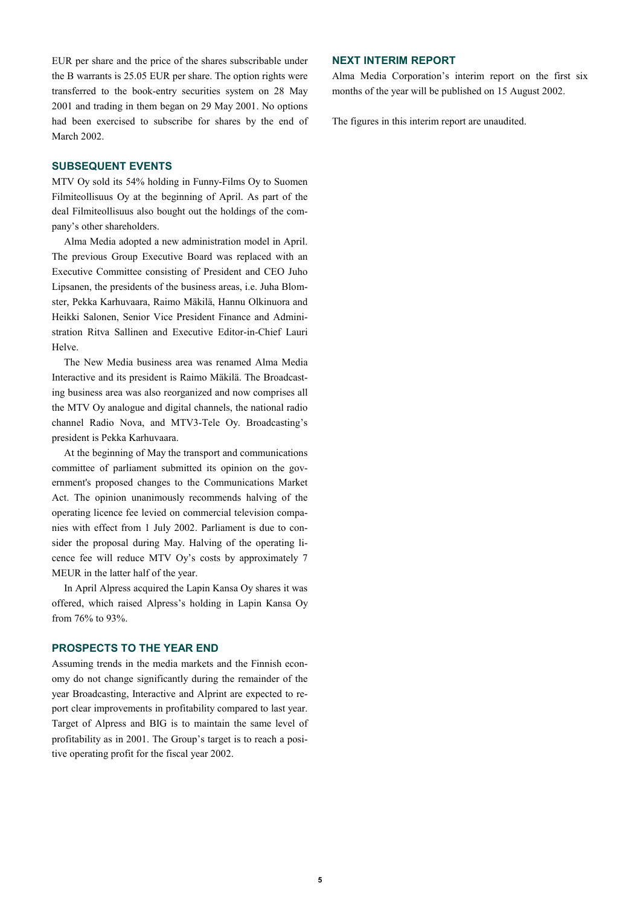EUR per share and the price of the shares subscribable under the B warrants is 25.05 EUR per share. The option rights were transferred to the book-entry securities system on 28 May 2001 and trading in them began on 29 May 2001. No options had been exercised to subscribe for shares by the end of March 2002.

### **SUBSEQUENT EVENTS**

MTV Oy sold its 54% holding in Funny-Films Oy to Suomen Filmiteollisuus Oy at the beginning of April. As part of the deal Filmiteollisuus also bought out the holdings of the company's other shareholders.

Alma Media adopted a new administration model in April. The previous Group Executive Board was replaced with an Executive Committee consisting of President and CEO Juho Lipsanen, the presidents of the business areas, i.e. Juha Blomster, Pekka Karhuvaara, Raimo Mäkilä, Hannu Olkinuora and Heikki Salonen, Senior Vice President Finance and Administration Ritva Sallinen and Executive Editor-in-Chief Lauri Helve.

The New Media business area was renamed Alma Media Interactive and its president is Raimo Mäkilä. The Broadcasting business area was also reorganized and now comprises all the MTV Oy analogue and digital channels, the national radio channel Radio Nova, and MTV3-Tele Oy. Broadcasting's president is Pekka Karhuvaara.

At the beginning of May the transport and communications committee of parliament submitted its opinion on the government's proposed changes to the Communications Market Act. The opinion unanimously recommends halving of the operating licence fee levied on commercial television companies with effect from 1 July 2002. Parliament is due to consider the proposal during May. Halving of the operating licence fee will reduce MTV Oy's costs by approximately 7 MEUR in the latter half of the year.

In April Alpress acquired the Lapin Kansa Oy shares it was offered, which raised Alpress's holding in Lapin Kansa Oy from 76% to 93%.

## **PROSPECTS TO THE YEAR END**

Assuming trends in the media markets and the Finnish economy do not change significantly during the remainder of the year Broadcasting, Interactive and Alprint are expected to report clear improvements in profitability compared to last year. Target of Alpress and BIG is to maintain the same level of profitability as in 2001. The Group's target is to reach a positive operating profit for the fiscal year 2002.

# **NEXT INTERIM REPORT**

Alma Media Corporation's interim report on the first six months of the year will be published on 15 August 2002.

The figures in this interim report are unaudited.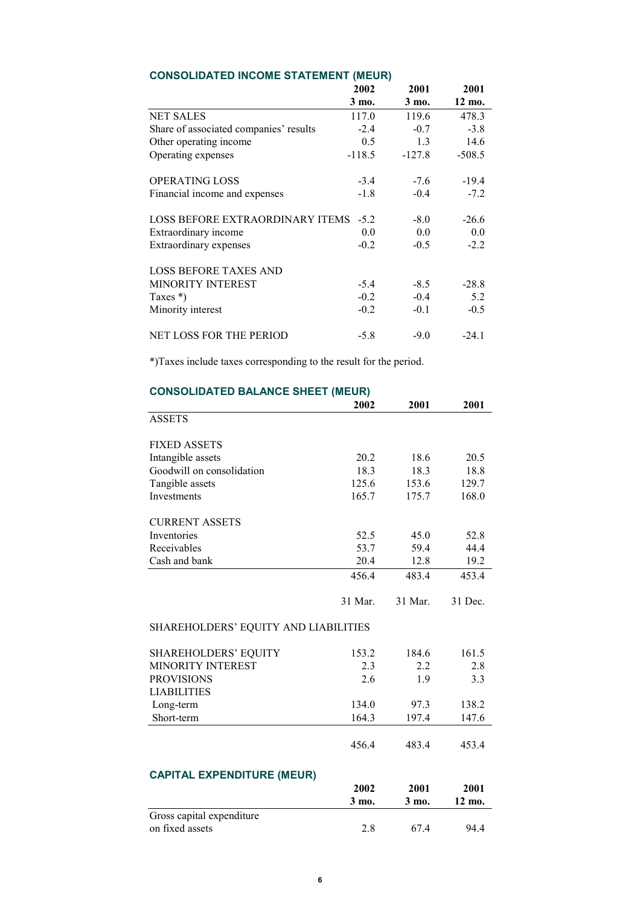|                                        | 2002     | 2001     | 2001     |
|----------------------------------------|----------|----------|----------|
|                                        | 3 mo.    | 3 mo.    | 12 mo.   |
| <b>NET SALES</b>                       | 117.0    | 119.6    | 478.3    |
| Share of associated companies' results | $-2.4$   | $-0.7$   | $-3.8$   |
| Other operating income                 | 0.5      | 1.3      | 14.6     |
| Operating expenses                     | $-118.5$ | $-127.8$ | $-508.5$ |
| <b>OPERATING LOSS</b>                  | $-3.4$   | $-7.6$   | $-19.4$  |
| Financial income and expenses          | $-1.8$   | $-0.4$   | $-7.2$   |
| <b>LOSS BEFORE EXTRAORDINARY ITEMS</b> | $-5.2$   | $-8.0$   | $-26.6$  |
| Extraordinary income                   | 0.0      | 0.0      | 0.0      |
| Extraordinary expenses                 | $-0.2$   | $-0.5$   | $-2.2$   |
| <b>LOSS BEFORE TAXES AND</b>           |          |          |          |
| <b>MINORITY INTEREST</b>               | $-5.4$   | $-8.5$   | $-28.8$  |
| Taxes $*)$                             | $-0.2$   | $-0.4$   | 5.2      |
| Minority interest                      | $-0.2$   | $-0.1$   | $-0.5$   |
| <b>NET LOSS FOR THE PERIOD</b>         | $-5.8$   | $-9.0$   | $-24.1$  |

# **CONSOLIDATED INCOME STATEMENT (MEUR)**

\*)Taxes include taxes corresponding to the result for the period.

|                                      | 2002    | 2001    | 2001    |
|--------------------------------------|---------|---------|---------|
| <b>ASSETS</b>                        |         |         |         |
| <b>FIXED ASSETS</b>                  |         |         |         |
| Intangible assets                    | 20.2    | 18.6    | 20.5    |
| Goodwill on consolidation            | 18.3    | 18.3    | 18.8    |
| Tangible assets                      | 125.6   | 153.6   | 129.7   |
| Investments                          | 165.7   | 175.7   | 168.0   |
| <b>CURRENT ASSETS</b>                |         |         |         |
| Inventories                          | 52.5    | 45.0    | 52.8    |
| Receivables                          | 53.7    | 59.4    | 44.4    |
| Cash and bank                        | 20.4    | 12.8    | 19.2    |
|                                      | 456.4   | 483.4   | 453.4   |
|                                      | 31 Mar. | 31 Mar. | 31 Dec. |
| SHAREHOLDERS' EQUITY AND LIABILITIES |         |         |         |
| <b>SHAREHOLDERS' EQUITY</b>          | 153.2   | 184.6   | 161.5   |
| <b>MINORITY INTEREST</b>             | 2.3     | 2.2     | 2.8     |
| <b>PROVISIONS</b>                    | 2.6     | 1.9     | 3.3     |
| <b>LIABILITIES</b>                   |         |         |         |
| Long-term                            | 134.0   | 97.3    | 138.2   |
| Short-term                           | 164.3   | 197.4   | 147.6   |
|                                      | 456.4   | 483.4   | 453.4   |
| <b>CAPITAL EXPENDITURE (MEUR)</b>    |         |         |         |
|                                      | 2002    | 2001    | 2001    |
|                                      | 3 mo.   | 3 mo.   | 12 mo.  |
| Gross capital expenditure            |         |         |         |
| on fixed assets                      | 2.8     | 67.4    | 94.4    |

# **CONSOLIDATED BALANCE SHEET (MEUR)**